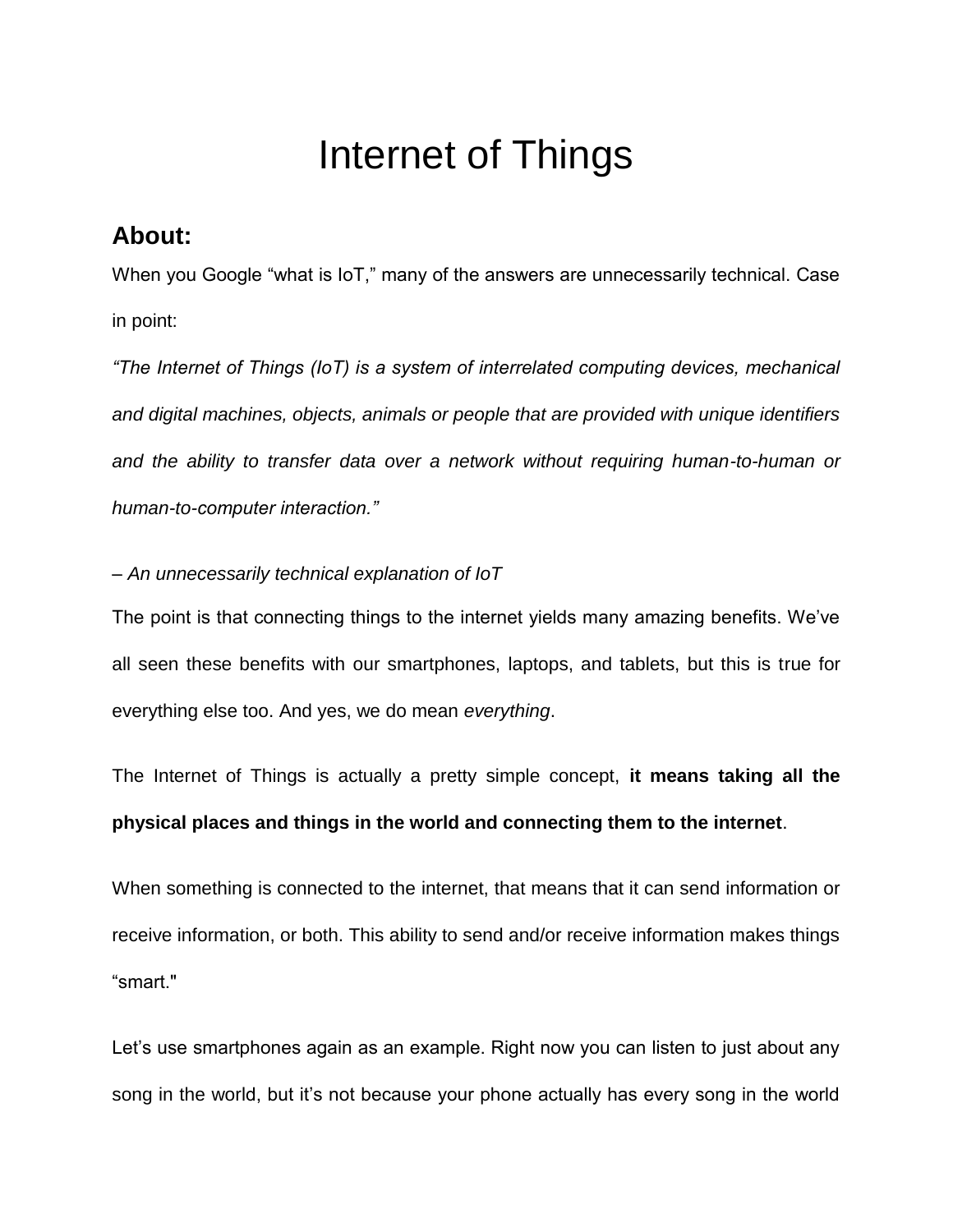# Internet of Things

## **About:**

When you Google "what is IoT," many of the answers are unnecessarily technical. Case in point:

*"The Internet of Things (IoT) is a system of interrelated computing devices, mechanical and digital machines, objects, animals or people that are provided with unique identifiers and the ability to transfer data over a network without requiring human-to-human or human-to-computer interaction."*

#### *– An unnecessarily technical explanation of IoT*

The point is that connecting things to the internet yields many amazing benefits. We've all seen these benefits with our smartphones, laptops, and tablets, but this is true for everything else too. And yes, we do mean *everything*.

The Internet of Things is actually a pretty simple concept, **it means taking all the physical places and things in the world and connecting them to the internet**.

When something is connected to the internet, that means that it can send information or receive information, or both. This ability to send and/or receive information makes things "smart."

Let's use smartphones again as an example. Right now you can listen to just about any song in the world, but it's not because your phone actually has every song in the world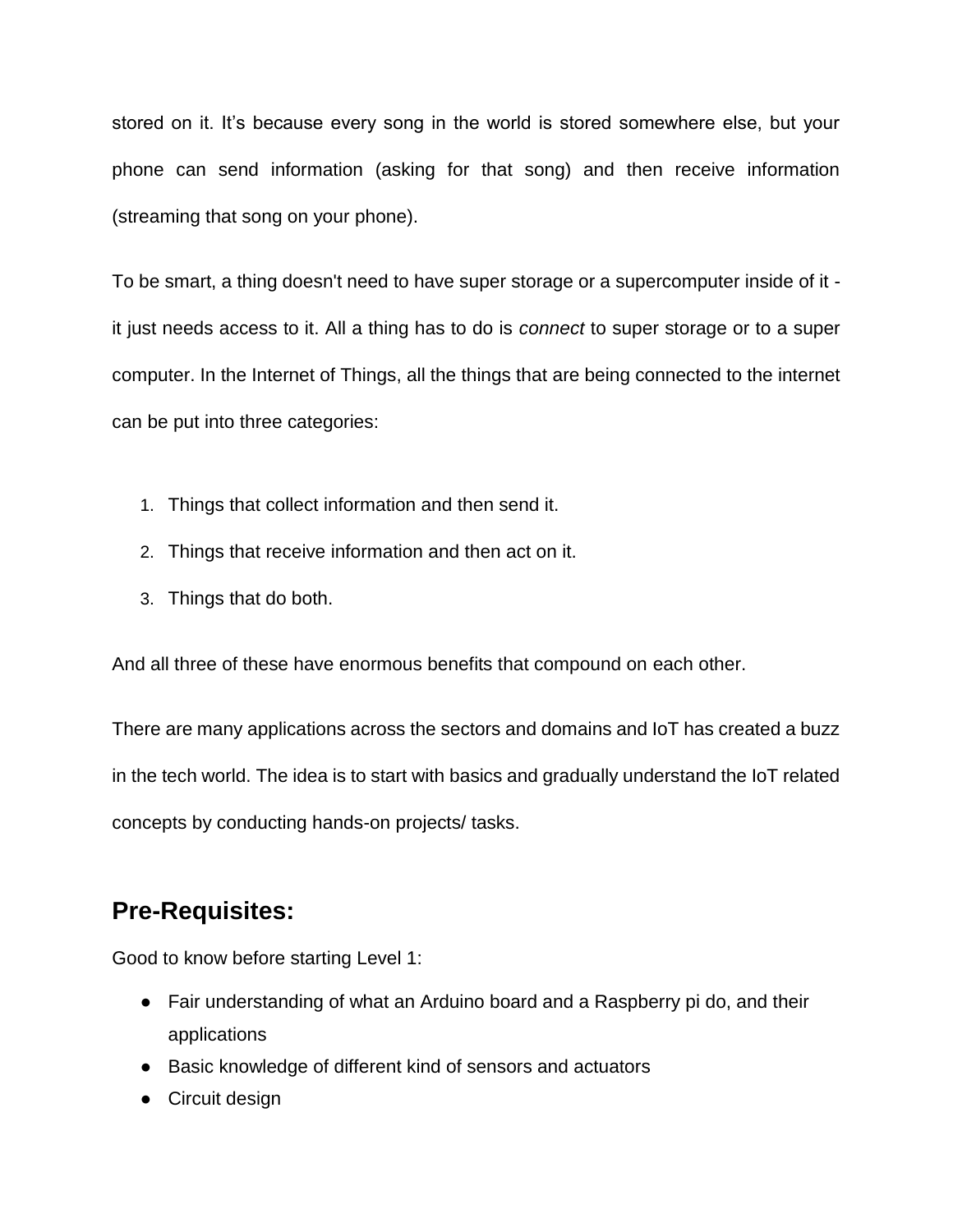stored on it. It's because every song in the world is stored somewhere else, but your phone can send information (asking for that song) and then receive information (streaming that song on your phone).

To be smart, a thing doesn't need to have super storage or a supercomputer inside of it it just needs access to it. All a thing has to do is *connect* to super storage or to a super computer. In the Internet of Things, all the things that are being connected to the internet can be put into three categories:

- 1. Things that collect information and then send it.
- 2. Things that receive information and then act on it.
- 3. Things that do both.

And all three of these have enormous benefits that compound on each other.

There are many applications across the sectors and domains and IoT has created a buzz in the tech world. The idea is to start with basics and gradually understand the IoT related concepts by conducting hands-on projects/ tasks.

## **Pre-Requisites:**

Good to know before starting Level 1:

- Fair understanding of what an Arduino board and a Raspberry pi do, and their applications
- Basic knowledge of different kind of sensors and actuators
- Circuit design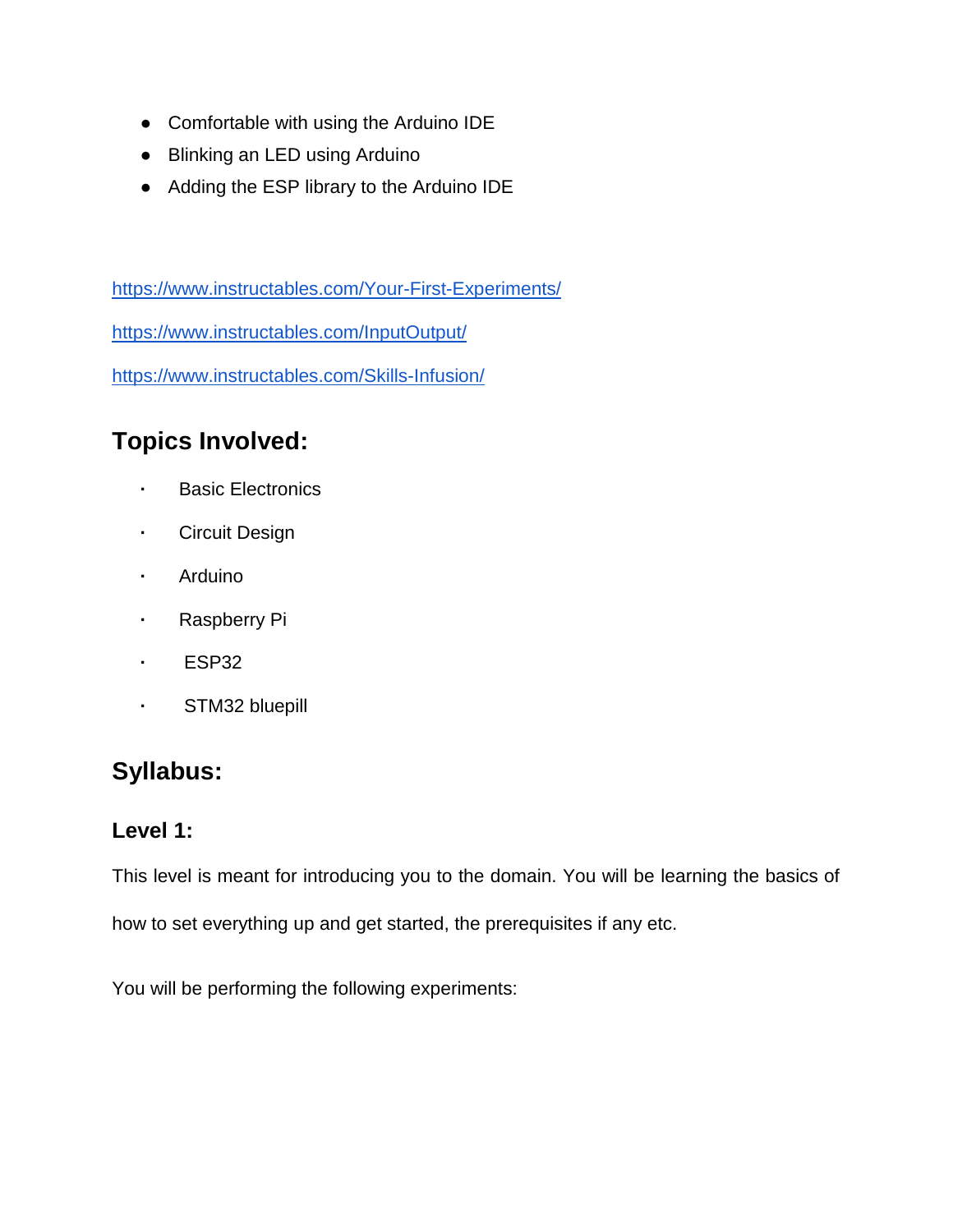- Comfortable with using the Arduino IDE
- Blinking an LED using Arduino
- Adding the ESP library to the Arduino IDE

<https://www.instructables.com/Your-First-Experiments/> <https://www.instructables.com/InputOutput/> <https://www.instructables.com/Skills-Infusion/>

# **Topics Involved:**

- **·** Basic Electronics
- **·** Circuit Design
- **·** Arduino
- **·** Raspberry Pi
- **·** ESP32
- **·** STM32 bluepill

## **Syllabus:**

#### **Level 1:**

This level is meant for introducing you to the domain. You will be learning the basics of how to set everything up and get started, the prerequisites if any etc.

You will be performing the following experiments: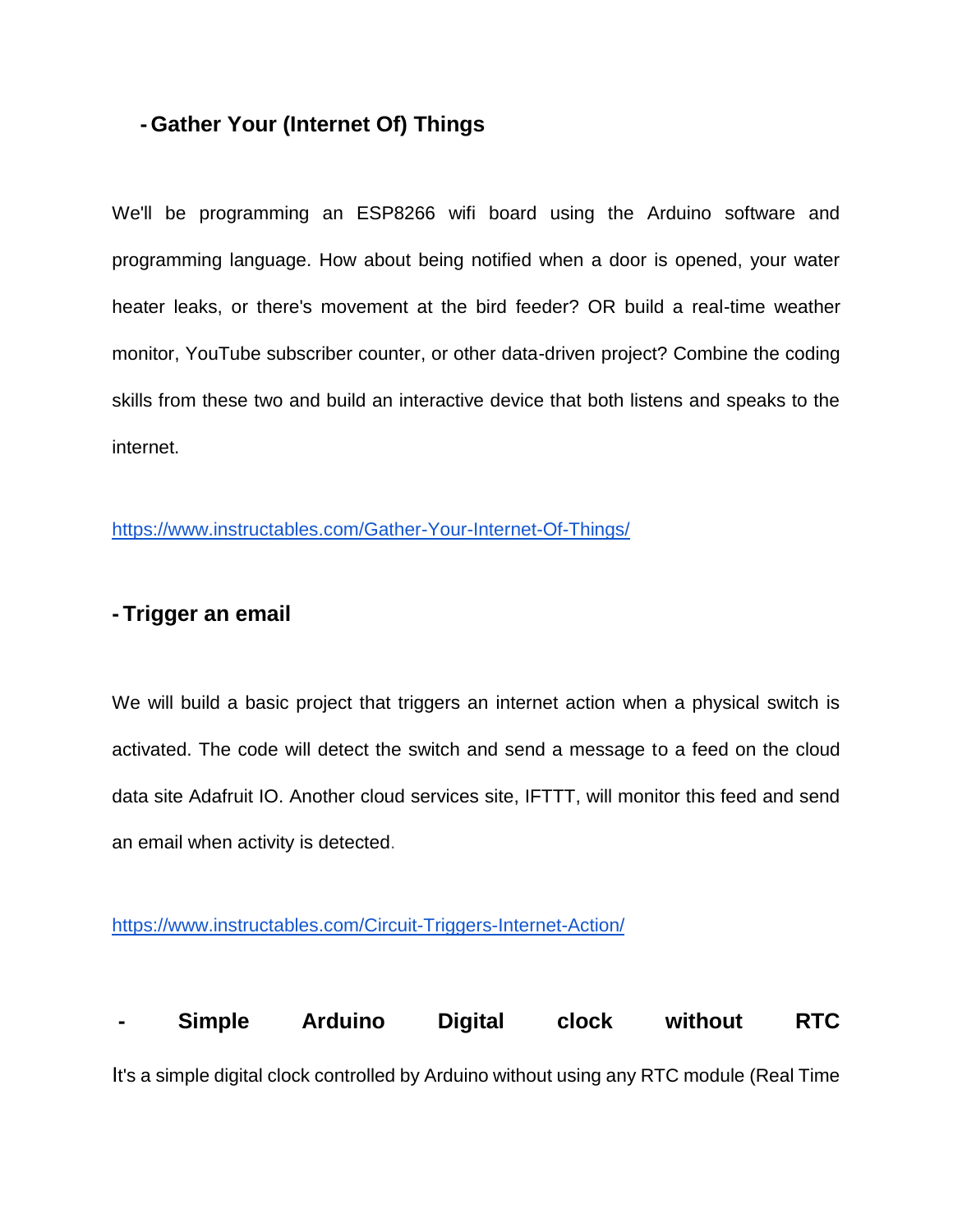#### **- Gather Your (Internet Of) Things**

We'll be programming an ESP8266 wifi board using the Arduino software and programming language. How about being notified when a door is opened, your water heater leaks, or there's movement at the bird feeder? OR build a real-time weather monitor, YouTube subscriber counter, or other data-driven project? Combine the coding skills from these two and build an interactive device that both listens and speaks to the internet.

<https://www.instructables.com/Gather-Your-Internet-Of-Things/>

#### **- Trigger an email**

We will build a basic project that triggers an internet action when a physical switch is activated. The code will detect the switch and send a message to a feed on the cloud data site Adafruit IO. Another cloud services site, IFTTT, will monitor this feed and send an email when activity is detected.

<https://www.instructables.com/Circuit-Triggers-Internet-Action/>

**- Simple Arduino Digital clock without RTC** It's a simple digital clock controlled by Arduino without using any RTC module (Real Time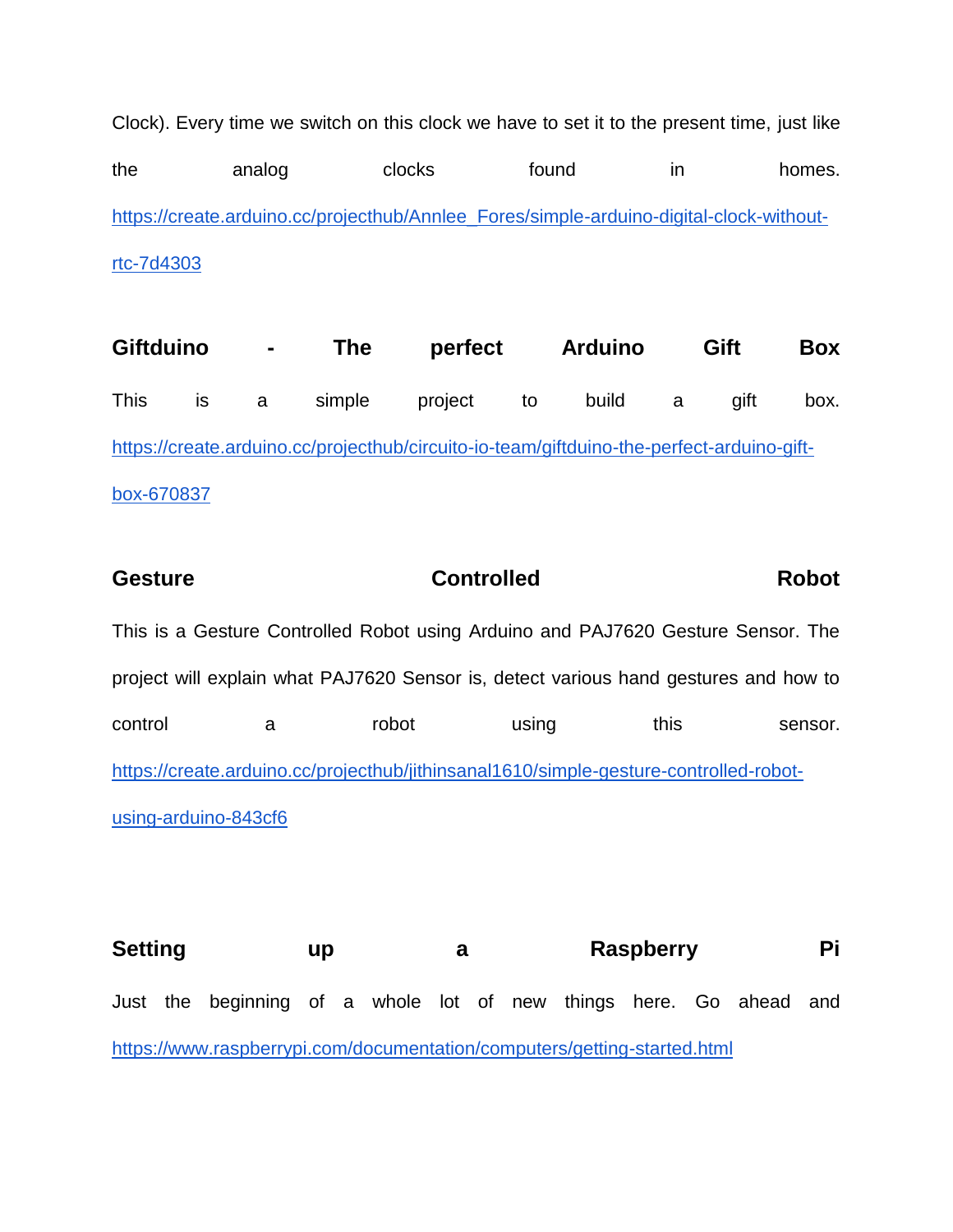Clock). Every time we switch on this clock we have to set it to the present time, just like the analog clocks found in homes. [https://create.arduino.cc/projecthub/Annlee\\_Fores/simple-arduino-digital-clock-without](https://create.arduino.cc/projecthub/Annlee_Fores/simple-arduino-digital-clock-without-rtc-7d4303)[rtc-7d4303](https://create.arduino.cc/projecthub/Annlee_Fores/simple-arduino-digital-clock-without-rtc-7d4303)

**Giftduino - The perfect Arduino Gift Box** This is a simple project to build a gift box. [https://create.arduino.cc/projecthub/circuito-io-team/giftduino-the-perfect-arduino-gift](https://create.arduino.cc/projecthub/circuito-io-team/giftduino-the-perfect-arduino-gift-box-670837)[box-670837](https://create.arduino.cc/projecthub/circuito-io-team/giftduino-the-perfect-arduino-gift-box-670837)

| <b>Gesture</b>                                                                        |   | <b>Controlled</b>                                                                    |       |      | <b>Robot</b> |
|---------------------------------------------------------------------------------------|---|--------------------------------------------------------------------------------------|-------|------|--------------|
|                                                                                       |   | This is a Gesture Controlled Robot using Arduino and PAJ7620 Gesture Sensor. The     |       |      |              |
|                                                                                       |   | project will explain what PAJ7620 Sensor is, detect various hand gestures and how to |       |      |              |
| control                                                                               | a | robot                                                                                | using | this | sensor.      |
| https://create.arduino.cc/projecthub/jithinsanal1610/simple-gesture-controlled-robot- |   |                                                                                      |       |      |              |
| using-arduino-843cf6                                                                  |   |                                                                                      |       |      |              |
|                                                                                       |   |                                                                                      |       |      |              |

Setting up a Raspberry Pi Just the beginning of a whole lot of new things here. Go ahead and <https://www.raspberrypi.com/documentation/computers/getting-started.html>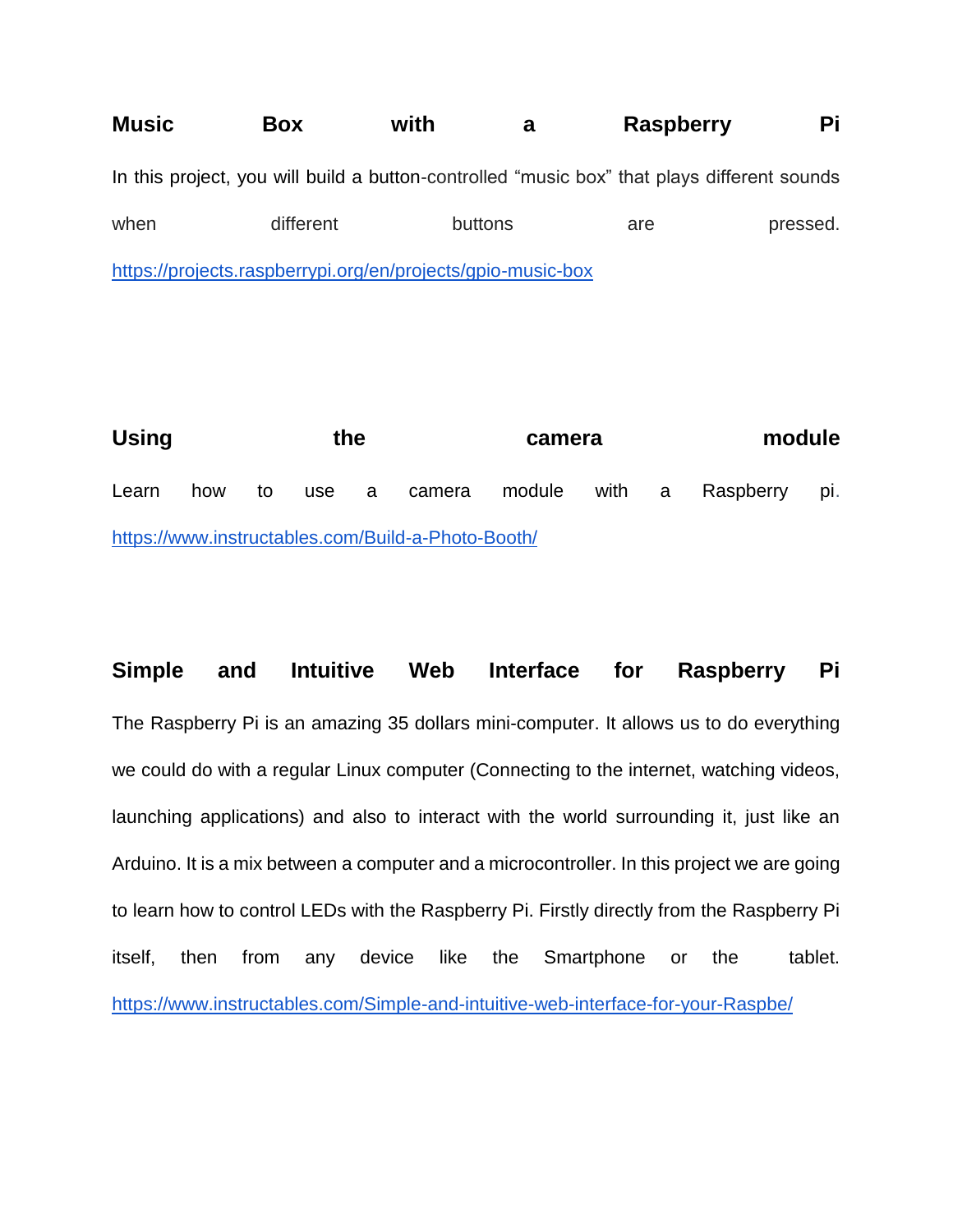**Music Box with a Raspberry Pi** In this project, you will build a button-controlled "music box" that plays different sounds when different buttons are pressed. <https://projects.raspberrypi.org/en/projects/gpio-music-box>

Using **the camera** module Learn how to use a camera module with a Raspberry pi. <https://www.instructables.com/Build-a-Photo-Booth/>

**Simple and Intuitive Web Interface for Raspberry Pi** The Raspberry Pi is an amazing 35 dollars mini-computer. It allows us to do everything we could do with a regular Linux computer (Connecting to the internet, watching videos, launching applications) and also to interact with the world surrounding it, just like an Arduino. It is a mix between a computer and a microcontroller. In this project we are going to learn how to control LEDs with the Raspberry Pi. Firstly directly from the Raspberry Pi itself, then from any device like the Smartphone or the tablet. <https://www.instructables.com/Simple-and-intuitive-web-interface-for-your-Raspbe/>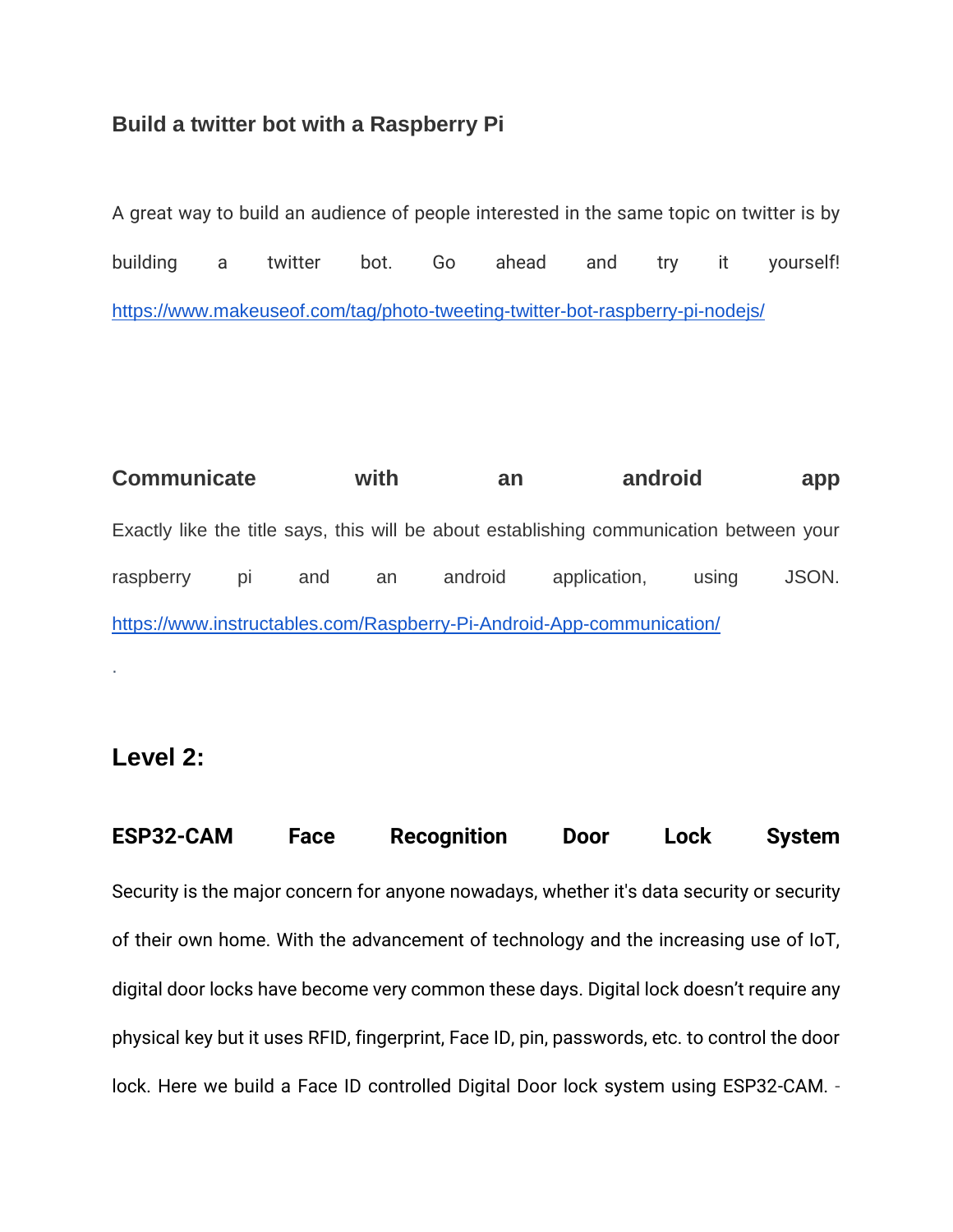#### **Build a twitter bot with a Raspberry Pi**

A great way to build an audience of people interested in the same topic on twitter is by building a twitter bot. Go ahead and try it yourself! <https://www.makeuseof.com/tag/photo-tweeting-twitter-bot-raspberry-pi-nodejs/>

**Communicate with an android app** Exactly like the title says, this will be about establishing communication between your raspberry pi and an android application, using JSON. <https://www.instructables.com/Raspberry-Pi-Android-App-communication/>

## **Level 2:**

·

**[ESP32-CAM Face Recognition Door Lock System](https://circuitdigest.com/microcontroller-projects/esp32-cam-face-recognition-door-lock-system)** Security is the major concern for anyone nowadays, whether it's data security or security of their own home. With the advancement of technology and the increasing use of IoT, digital door locks have become very common these days. Digital lock doesn't require any physical key but it uses RFID, fingerprint, Face ID, pin, passwords, etc. to control the door lock. Here we build a Face ID controlled Digital Door lock system using ESP32-CAM. -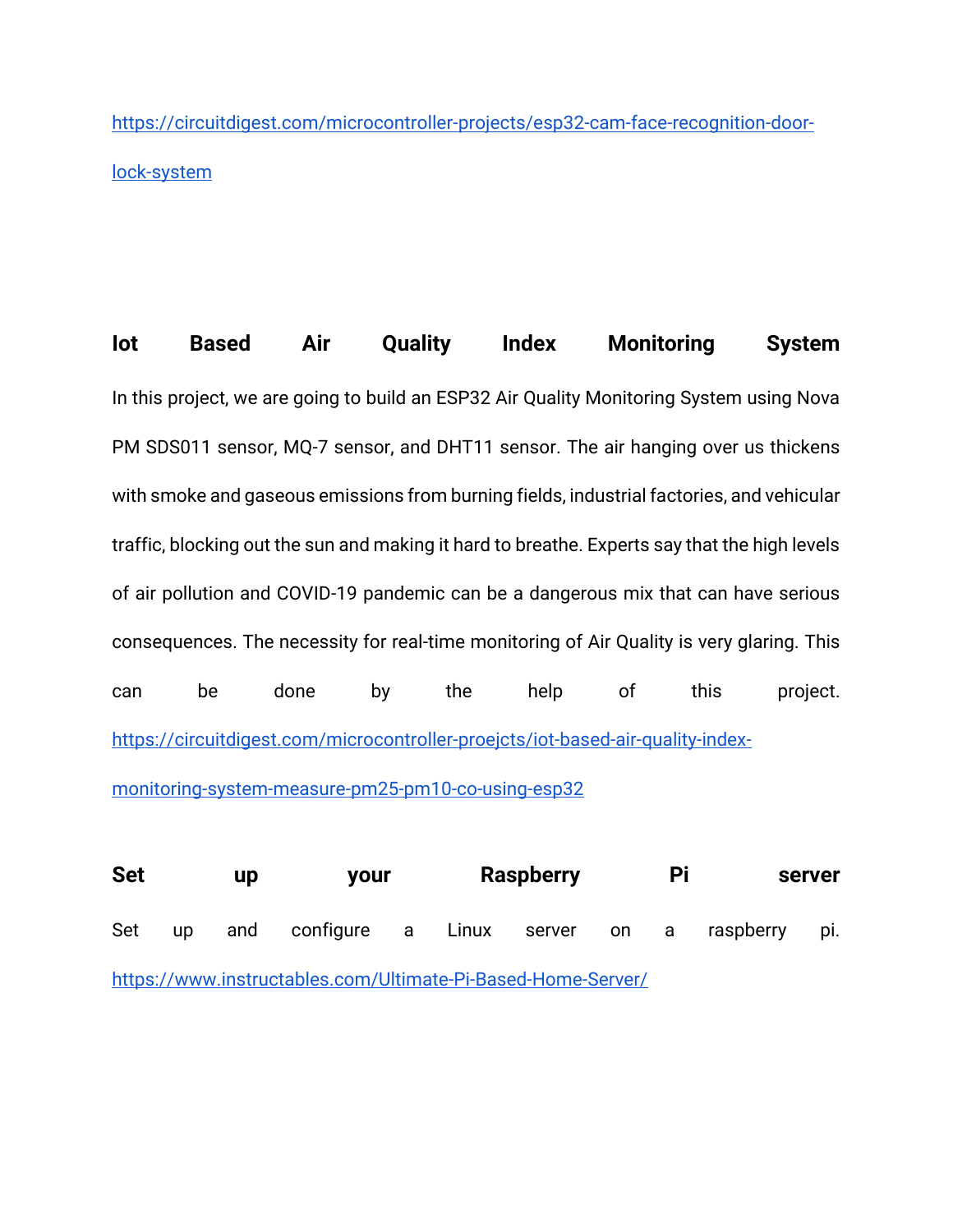[https://circuitdigest.com/microcontroller-projects/esp32-cam-face-recognition-door](https://circuitdigest.com/microcontroller-projects/esp32-cam-face-recognition-door-lock-system)[lock-system](https://circuitdigest.com/microcontroller-projects/esp32-cam-face-recognition-door-lock-system)

**Iot Based Air Quality Index Monitoring System** In this project, we are going to build an ESP32 Air Quality Monitoring System using Nova PM SDS011 sensor, MQ-7 sensor, and DHT11 sensor. The air hanging over us thickens with smoke and gaseous emissions from burning fields, industrial factories, and vehicular traffic, blocking out the sun and making it hard to breathe. Experts say that the high levels of air pollution and COVID-19 pandemic can be a dangerous mix that can have serious consequences. The necessity for real-time monitoring of Air Quality is very glaring. This can be done by the help of this project. [https://circuitdigest.com/microcontroller-proejcts/iot-based-air-quality-index](https://circuitdigest.com/microcontroller-proejcts/iot-based-air-quality-index-monitoring-system-measure-pm25-pm10-co-using-esp32)[monitoring-system-measure-pm25-pm10-co-using-esp32](https://circuitdigest.com/microcontroller-proejcts/iot-based-air-quality-index-monitoring-system-measure-pm25-pm10-co-using-esp32)

**Set up your Raspberry Pi server** Set up and configure a Linux server on a raspberry pi. <https://www.instructables.com/Ultimate-Pi-Based-Home-Server/>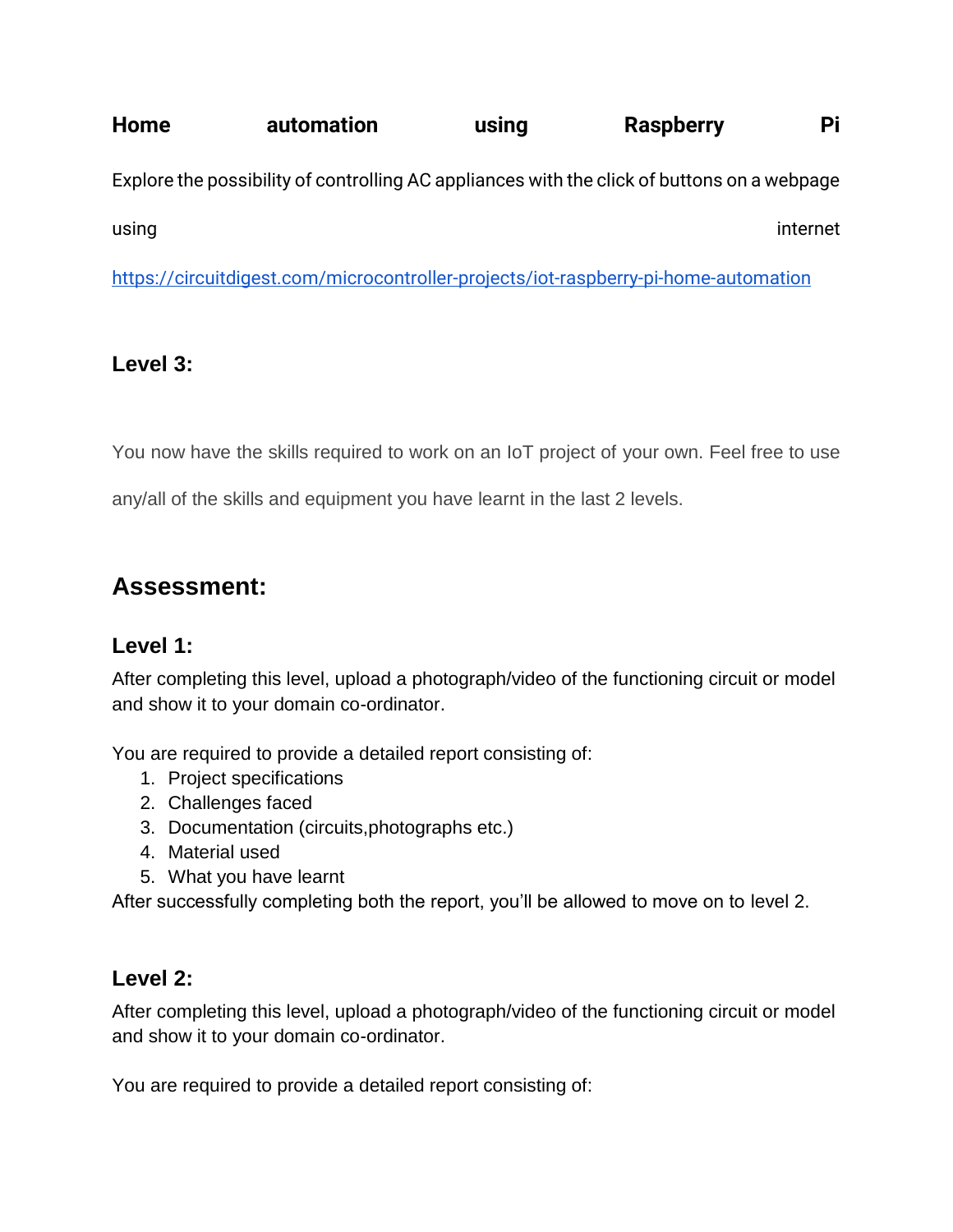**Home** automation using Raspberry Pi Explore the possibility of controlling AC appliances with the click of buttons on a webpage using internet in the contract of the contract of the contract of the contract of the contract of the contract

<https://circuitdigest.com/microcontroller-projects/iot-raspberry-pi-home-automation>

## **Level 3:**

You now have the skills required to work on an IoT project of your own. Feel free to use

any/all of the skills and equipment you have learnt in the last 2 levels.

# **Assessment:**

### **Level 1:**

After completing this level, upload a photograph/video of the functioning circuit or model and show it to your domain co-ordinator.

You are required to provide a detailed report consisting of:

- 1. Project specifications
- 2. Challenges faced
- 3. Documentation (circuits,photographs etc.)
- 4. Material used
- 5. What you have learnt

After successfully completing both the report, you'll be allowed to move on to level 2.

### **Level 2:**

After completing this level, upload a photograph/video of the functioning circuit or model and show it to your domain co-ordinator.

You are required to provide a detailed report consisting of: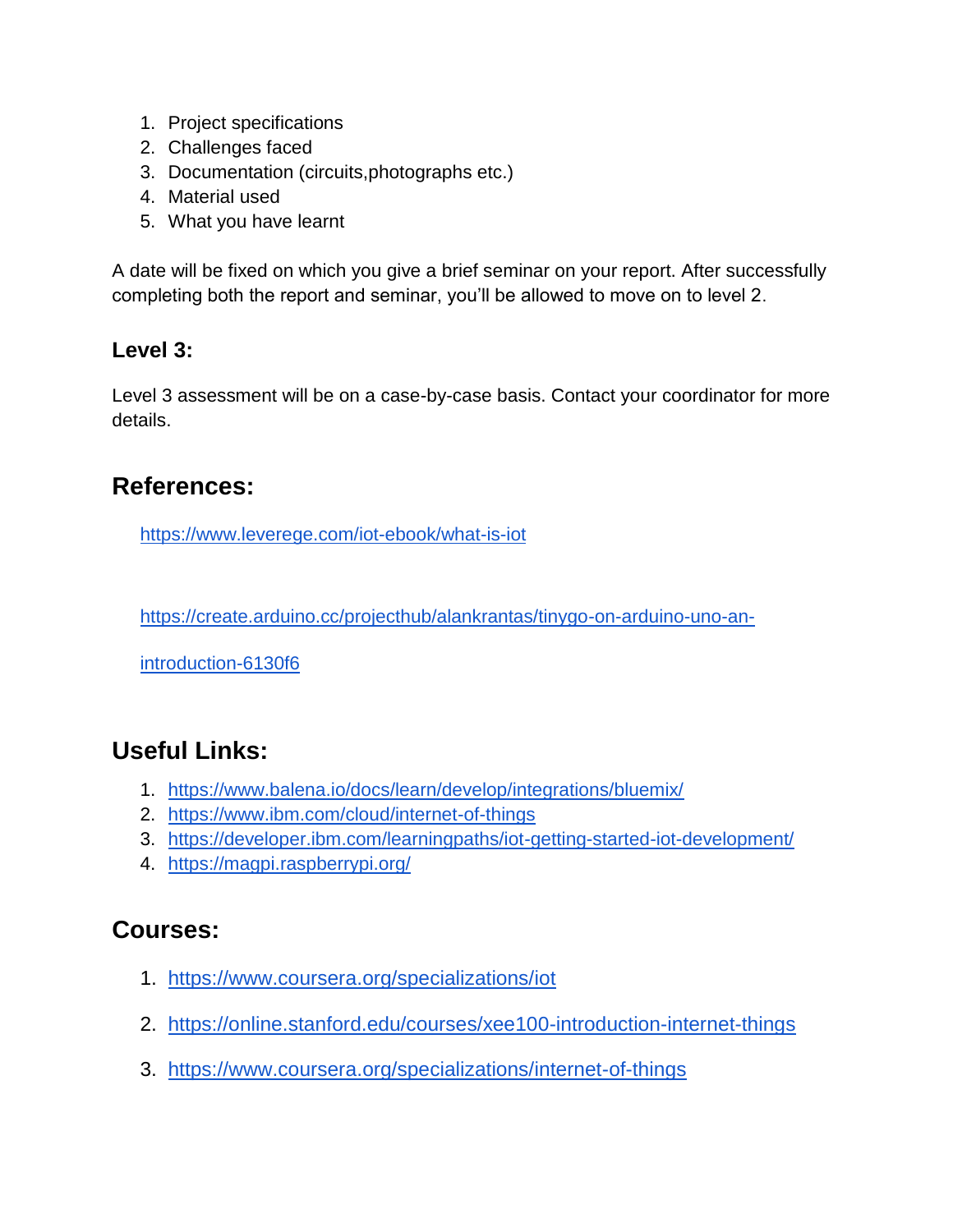- 1. Project specifications
- 2. Challenges faced
- 3. Documentation (circuits,photographs etc.)
- 4. Material used
- 5. What you have learnt

A date will be fixed on which you give a brief seminar on your report. After successfully completing both the report and seminar, you'll be allowed to move on to level 2.

## **Level 3:**

Level 3 assessment will be on a case-by-case basis. Contact your coordinator for more details.

## **References:**

<https://www.leverege.com/iot-ebook/what-is-iot>

[https://create.arduino.cc/projecthub/alankrantas/tinygo-on-arduino-uno-an-](https://create.arduino.cc/projecthub/alankrantas/tinygo-on-arduino-uno-an-introduction-6130f6)

[introduction-6130f6](https://create.arduino.cc/projecthub/alankrantas/tinygo-on-arduino-uno-an-introduction-6130f6)

# **Useful Links:**

- 1. <https://www.balena.io/docs/learn/develop/integrations/bluemix/>
- 2. <https://www.ibm.com/cloud/internet-of-things>
- 3. <https://developer.ibm.com/learningpaths/iot-getting-started-iot-development/>
- 4. <https://magpi.raspberrypi.org/>

## **Courses:**

- 1. <https://www.coursera.org/specializations/iot>
- 2. <https://online.stanford.edu/courses/xee100-introduction-internet-things>
- 3. <https://www.coursera.org/specializations/internet-of-things>